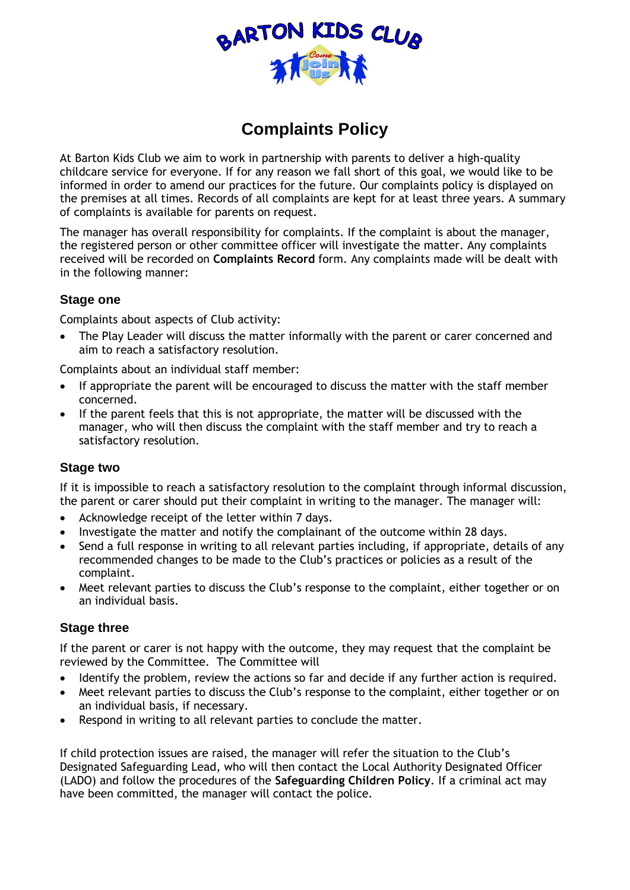

# **Complaints Policy**

At Barton Kids Club we aim to work in partnership with parents to deliver a high-quality childcare service for everyone. If for any reason we fall short of this goal, we would like to be informed in order to amend our practices for the future. Our complaints policy is displayed on the premises at all times. Records of all complaints are kept for at least three years. A summary of complaints is available for parents on request.

The manager has overall responsibility for complaints. If the complaint is about the manager, the registered person or other committee officer will investigate the matter. Any complaints received will be recorded on **Complaints Record** form. Any complaints made will be dealt with in the following manner:

## **Stage one**

Complaints about aspects of Club activity:

• The Play Leader will discuss the matter informally with the parent or carer concerned and aim to reach a satisfactory resolution.

Complaints about an individual staff member:

- If appropriate the parent will be encouraged to discuss the matter with the staff member concerned.
- If the parent feels that this is not appropriate, the matter will be discussed with the manager, who will then discuss the complaint with the staff member and try to reach a satisfactory resolution.

#### **Stage two**

If it is impossible to reach a satisfactory resolution to the complaint through informal discussion, the parent or carer should put their complaint in writing to the manager. The manager will:

- Acknowledge receipt of the letter within 7 days.
- Investigate the matter and notify the complainant of the outcome within 28 days.
- Send a full response in writing to all relevant parties including, if appropriate, details of any recommended changes to be made to the Club's practices or policies as a result of the complaint.
- Meet relevant parties to discuss the Club's response to the complaint, either together or on an individual basis.

#### **Stage three**

If the parent or carer is not happy with the outcome, they may request that the complaint be reviewed by the Committee. The Committee will

- Identify the problem, review the actions so far and decide if any further action is required.
- Meet relevant parties to discuss the Club's response to the complaint, either together or on an individual basis, if necessary.
- Respond in writing to all relevant parties to conclude the matter.

If child protection issues are raised, the manager will refer the situation to the Club's Designated Safeguarding Lead, who will then contact the Local Authority Designated Officer (LADO) and follow the procedures of the **Safeguarding Children Policy**. If a criminal act may have been committed, the manager will contact the police.